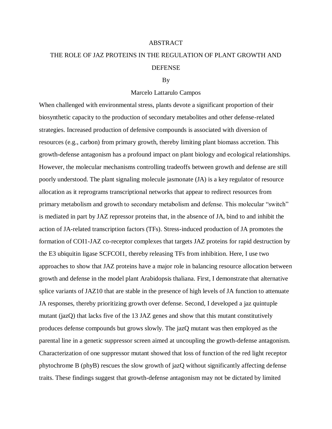## ABSTRACT

## THE ROLE OF JAZ PROTEINS IN THE REGULATION OF PLANT GROWTH AND DEFENSE

## By

## Marcelo Lattarulo Campos

When challenged with environmental stress, plants devote a significant proportion of their biosynthetic capacity to the production of secondary metabolites and other defense-related strategies. Increased production of defensive compounds is associated with diversion of resources (e.g., carbon) from primary growth, thereby limiting plant biomass accretion. This growth-defense antagonism has a profound impact on plant biology and ecological relationships. However, the molecular mechanisms controlling tradeoffs between growth and defense are still poorly understood. The plant signaling molecule jasmonate (JA) is a key regulator of resource allocation as it reprograms transcriptional networks that appear to redirect resources from primary metabolism and growth to secondary metabolism and defense. This molecular "switch" is mediated in part by JAZ repressor proteins that, in the absence of JA, bind to and inhibit the action of JA-related transcription factors (TFs). Stress-induced production of JA promotes the formation of COI1-JAZ co-receptor complexes that targets JAZ proteins for rapid destruction by the E3 ubiquitin ligase SCFCOI1, thereby releasing TFs from inhibition. Here, I use two approaches to show that JAZ proteins have a major role in balancing resource allocation between growth and defense in the model plant Arabidopsis thaliana. First, I demonstrate that alternative splice variants of JAZ10 that are stable in the presence of high levels of JA function to attenuate JA responses, thereby prioritizing growth over defense. Second, I developed a jaz quintuple mutant (jazQ) that lacks five of the 13 JAZ genes and show that this mutant constitutively produces defense compounds but grows slowly. The jazQ mutant was then employed as the parental line in a genetic suppressor screen aimed at uncoupling the growth-defense antagonism. Characterization of one suppressor mutant showed that loss of function of the red light receptor phytochrome B (phyB) rescues the slow growth of jazQ without significantly affecting defense traits. These findings suggest that growth-defense antagonism may not be dictated by limited